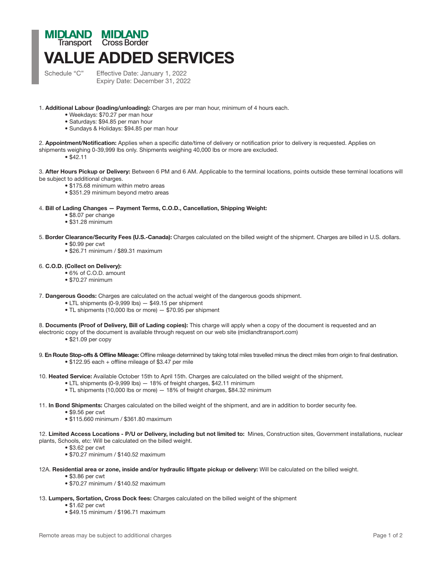## Transport Cross BorderVALUE ADDED SERVICES

Schedule "C" Effective Date: January 1, 2022 Expiry Date: December 31, 2022

1. Additional Labour (loading/unloading): Charges are per man hour, minimum of 4 hours each.

- Weekdays: \$70.27 per man hour
- Saturdays: \$94.85 per man hour
- Sundays & Holidays: \$94.85 per man hour

2. Appointment/Notification: Applies when a specific date/time of delivery or notification prior to delivery is requested. Applies on shipments weighing 0-39,999 lbs only. Shipments weighing 40,000 lbs or more are excluded.

• \$42.11

3. After Hours Pickup or Delivery: Between 6 PM and 6 AM. Applicable to the terminal locations, points outside these terminal locations will be subject to additional charges.

- \$175.68 minimum within metro areas
- \$351.29 minimum beyond metro areas

## 4. Bill of Lading Changes — Payment Terms, C.O.D., Cancellation, Shipping Weight:

- \$8.07 per change
- \$31.28 minimum
- 5. Border Clearance/Security Fees (U.S.-Canada): Charges calculated on the billed weight of the shipment. Charges are billed in U.S. dollars.
	- \$0.99 per cwt
	- \$26.71 minimum / \$89.31 maximum

## 6. C.O.D. (Collect on Delivery):

- 6% of C.O.D. amount
- \$70.27 minimum
- 7. Dangerous Goods: Charges are calculated on the actual weight of the dangerous goods shipment.
	- LTL shipments (0-9,999 lbs) \$49.15 per shipment
	- TL shipments (10,000 lbs or more) \$70.95 per shipment
- 8. Documents (Proof of Delivery, Bill of Lading copies): This charge will apply when a copy of the document is requested and an
- electronic copy of the document is available through request on our web site (midlandtransport.com)
	- \$21.09 per copy

9. En Route Stop-offs & Offline Mileage: Offline mileage determined by taking total miles travelled minus the direct miles from origin to final destination. • \$122.95 each + offline mileage of \$3.47 per mile

- 10. Heated Service: Available October 15th to April 15th. Charges are calculated on the billed weight of the shipment.
	- LTL shipments (0-9,999 lbs) 18% of freight charges, \$42.11 minimum
	- TL shipments (10,000 lbs or more) 18% of freight charges, \$84.32 minimum
- 11. In Bond Shipments: Charges calculated on the billed weight of the shipment, and are in addition to border security fee.
	- \$9.56 per cwt
	- \$115.660 minimum / \$361.80 maximum
- 12. Limited Access Locations P/U or Delivery, including but not limited to: Mines, Construction sites, Government installations, nuclear plants, Schools, etc: Will be calculated on the billed weight.
	- \$3.62 per cwt
	- \$70.27 minimum / \$140.52 maximum
- 12A. Residential area or zone, inside and/or hydraulic liftgate pickup or delivery: Will be calculated on the billed weight.
	- \$3.86 per cwt
	- \$70.27 minimum / \$140.52 maximum
- 13. Lumpers, Sortation, Cross Dock fees: Charges calculated on the billed weight of the shipment
	- \$1.62 per cwt
	- \$49.15 minimum / \$196.71 maximum